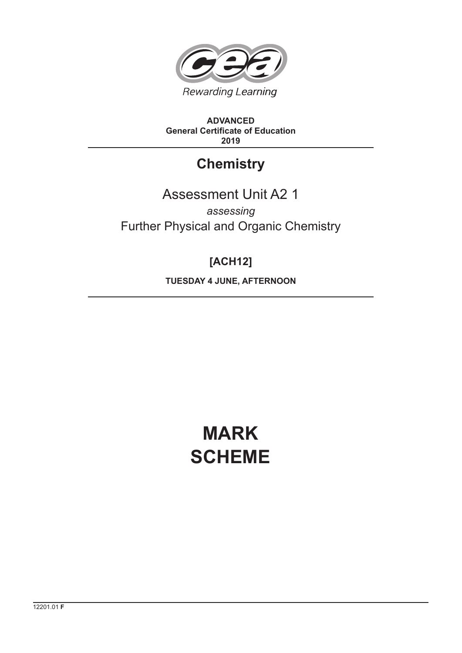

**ADVANCED General Certificate of Education 2019**

## **Chemistry**

### Assessment Unit A2 1 *assessing* Further Physical and Organic Chemistry

## **[ACH12]**

**TUESDAY 4 JUNE, AFTERNOON**

# **MARK SCHEME**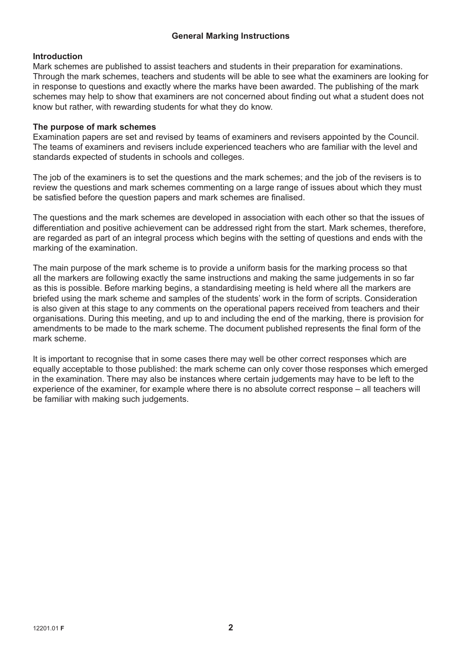#### **General Marking Instructions**

#### **Introduction**

Mark schemes are published to assist teachers and students in their preparation for examinations. Through the mark schemes, teachers and students will be able to see what the examiners are looking for in response to questions and exactly where the marks have been awarded. The publishing of the mark schemes may help to show that examiners are not concerned about finding out what a student does not know but rather, with rewarding students for what they do know.

#### **The purpose of mark schemes**

Examination papers are set and revised by teams of examiners and revisers appointed by the Council. The teams of examiners and revisers include experienced teachers who are familiar with the level and standards expected of students in schools and colleges.

The job of the examiners is to set the questions and the mark schemes; and the job of the revisers is to review the questions and mark schemes commenting on a large range of issues about which they must be satisfied before the question papers and mark schemes are finalised.

The questions and the mark schemes are developed in association with each other so that the issues of differentiation and positive achievement can be addressed right from the start. Mark schemes, therefore, are regarded as part of an integral process which begins with the setting of questions and ends with the marking of the examination.

The main purpose of the mark scheme is to provide a uniform basis for the marking process so that all the markers are following exactly the same instructions and making the same judgements in so far as this is possible. Before marking begins, a standardising meeting is held where all the markers are briefed using the mark scheme and samples of the students' work in the form of scripts. Consideration is also given at this stage to any comments on the operational papers received from teachers and their organisations. During this meeting, and up to and including the end of the marking, there is provision for amendments to be made to the mark scheme. The document published represents the final form of the mark scheme.

It is important to recognise that in some cases there may well be other correct responses which are equally acceptable to those published: the mark scheme can only cover those responses which emerged in the examination. There may also be instances where certain judgements may have to be left to the experience of the examiner, for example where there is no absolute correct response – all teachers will be familiar with making such judgements.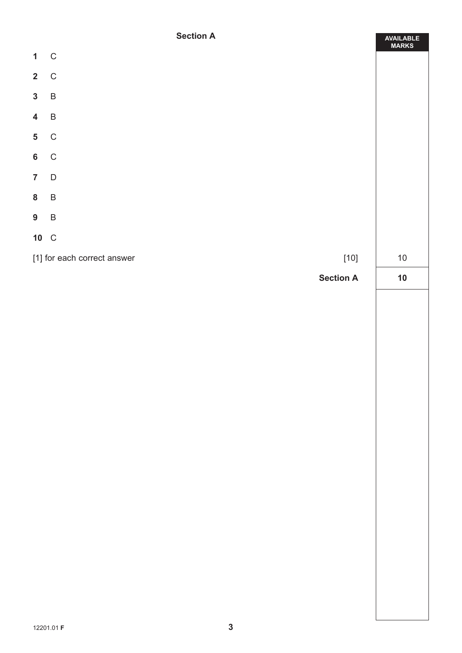#### **Section A**

|                         | <b>Section A</b>                                 | AVAILABLE<br>MARKS |
|-------------------------|--------------------------------------------------|--------------------|
| $\mathbf{1}$            | $\mathbf C$                                      |                    |
| $2\quad C$              |                                                  |                    |
| $3 \quad B$             |                                                  |                    |
| $\overline{\mathbf{4}}$ | $\, {\sf B}$                                     |                    |
| $\overline{\mathbf{5}}$ | $\mathsf C$                                      |                    |
| $6\phantom{a}$          | $\mathbf C$                                      |                    |
| $\overline{7}$          | $\overline{D}$                                   |                    |
| 8 B                     |                                                  |                    |
| $9\phantom{.0}$         | $\overline{B}$                                   |                    |
| 10 C                    |                                                  |                    |
|                         | [1] for each correct answer<br>$\left[10\right]$ | $10\,$             |
|                         | <b>Section A</b>                                 | $10$               |
|                         |                                                  |                    |
|                         |                                                  |                    |
|                         |                                                  |                    |
|                         |                                                  |                    |
|                         |                                                  |                    |
|                         |                                                  |                    |
|                         |                                                  |                    |
|                         |                                                  |                    |
|                         |                                                  |                    |
|                         |                                                  |                    |
|                         |                                                  |                    |
|                         |                                                  |                    |
|                         |                                                  |                    |
|                         |                                                  |                    |
|                         |                                                  |                    |
|                         |                                                  |                    |
|                         |                                                  |                    |
|                         |                                                  |                    |
|                         |                                                  |                    |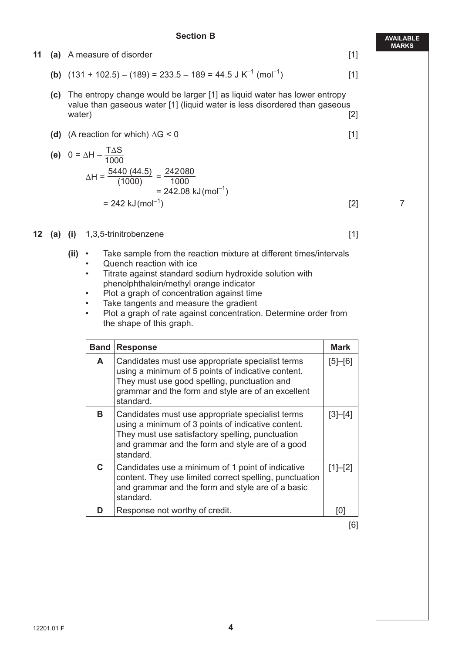#### **Section B**

|         |     |          |                                                                                                                                                                                                                                                                      |       | <b>MAR</b>     |
|---------|-----|----------|----------------------------------------------------------------------------------------------------------------------------------------------------------------------------------------------------------------------------------------------------------------------|-------|----------------|
| 11      |     |          | (a) A measure of disorder                                                                                                                                                                                                                                            | $[1]$ |                |
|         |     |          | <b>(b)</b> $(131 + 102.5) - (189) = 233.5 - 189 = 44.5 \text{ J K}^{-1} \text{ (mol}^{-1})$                                                                                                                                                                          | $[1]$ |                |
|         | (C) | water)   | The entropy change would be larger [1] as liquid water has lower entropy<br>value than gaseous water [1] (liquid water is less disordered than gaseous                                                                                                               | $[2]$ |                |
|         |     |          | (d) (A reaction for which) $\Delta G < 0$                                                                                                                                                                                                                            | $[1]$ |                |
|         |     |          | (e) $0 = \Delta H - \frac{T \Delta S}{1000}$                                                                                                                                                                                                                         |       |                |
|         |     |          | $\Delta H = \frac{5440 (44.5)}{(1000)} = \frac{242080}{1000}$<br>$= 242.08 \text{ kJ} (\text{mol}^{-1})$                                                                                                                                                             |       |                |
|         |     |          | $= 242$ kJ (mol <sup>-1</sup> )                                                                                                                                                                                                                                      | $[2]$ | $\overline{7}$ |
| $12 \,$ |     |          | (a) $(i)$ 1,3,5-trinitrobenzene                                                                                                                                                                                                                                      | $[1]$ |                |
|         |     | $(ii)$ • | Take sample from the reaction mixture at different times/intervals<br>Quench reaction with ice<br>٠<br>Titrate against standard sodium hydroxide solution with<br>$\bullet$<br>phenolphthalein/methyl orange indicator<br>Dlet e svenk ef ennenntuetion enginet time |       |                |

- Plot a graph of concentration against time
- Take tangents and measure the gradient
- Plot a graph of rate against concentration. Determine order from the shape of this graph.

| <b>Band</b> | <b>Response</b>                                                                                                                                                                                                             | Mark        |
|-------------|-----------------------------------------------------------------------------------------------------------------------------------------------------------------------------------------------------------------------------|-------------|
| A           | Candidates must use appropriate specialist terms<br>using a minimum of 5 points of indicative content.<br>They must use good spelling, punctuation and<br>grammar and the form and style are of an excellent<br>standard.   | $[5] - [6]$ |
| В           | Candidates must use appropriate specialist terms<br>using a minimum of 3 points of indicative content.<br>They must use satisfactory spelling, punctuation<br>and grammar and the form and style are of a good<br>standard. | $[3]-[4]$   |
| C.          | Candidates use a minimum of 1 point of indicative<br>content. They use limited correct spelling, punctuation<br>and grammar and the form and style are of a basic<br>standard.                                              | $[1]-[2]$   |
| D           | Response not worthy of credit.                                                                                                                                                                                              | Ю           |

[6]

**AVAILABLE MARKS**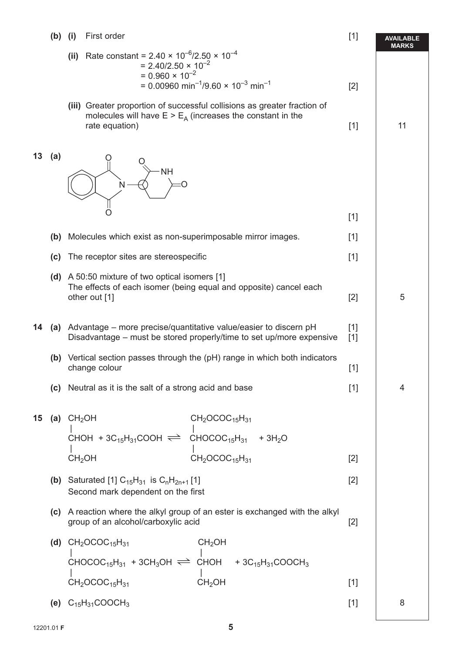#### **(b)** (i) First order [1]

|    | (b) | (i)         | First order                                                                                                                                                                                            | $[1]$          | <b>AVAILABLE</b><br>MARKS |
|----|-----|-------------|--------------------------------------------------------------------------------------------------------------------------------------------------------------------------------------------------------|----------------|---------------------------|
|    |     | (ii)        | Rate constant = $2.40 \times 10^{-6}/2.50 \times 10^{-4}$<br>$= 2.40/2.50 \times 10^{-2}$<br>$= 0.960 \times 10^{-2}$<br>= 0.00960 min <sup>-1</sup> /9.60 $\times$ 10 <sup>-3</sup> min <sup>-1</sup> | $[2]$          |                           |
|    |     |             | (iii) Greater proportion of successful collisions as greater fraction of<br>molecules will have $E > E_A$ (increases the constant in the<br>rate equation)                                             | $[1]$          | 11                        |
| 13 | (a) |             | <b>NH</b>                                                                                                                                                                                              |                |                           |
|    |     |             |                                                                                                                                                                                                        | $[1]$          |                           |
|    | (b) |             | Molecules which exist as non-superimposable mirror images.                                                                                                                                             | $[1]$          |                           |
|    | (c) |             | The receptor sites are stereospecific                                                                                                                                                                  | $[1]$          |                           |
|    |     |             | (d) A 50:50 mixture of two optical isomers [1]<br>The effects of each isomer (being equal and opposite) cancel each<br>other out [1]                                                                   | $[2]$          | 5                         |
| 14 |     |             | (a) Advantage – more precise/quantitative value/easier to discern $pH$<br>Disadvantage – must be stored properly/time to set up/more expensive                                                         | $[1]$<br>$[1]$ |                           |
|    |     |             | (b) Vertical section passes through the (pH) range in which both indicators<br>change colour                                                                                                           | $[1]$          |                           |
|    |     |             | (c) Neutral as it is the salt of a strong acid and base                                                                                                                                                | $[1]$          | 4                         |
| 15 |     | (a) $CH2OH$ | $CH2OCOC15H31$                                                                                                                                                                                         |                |                           |
|    |     |             | $\frac{1}{2}$ CHOH + 3C <sub>15</sub> H <sub>31</sub> COOH $\rightleftharpoons$ CHOCOC <sub>15</sub> H <sub>31</sub> + 3H <sub>2</sub> O                                                               |                |                           |
|    |     |             | $CH2OCOC15H31$<br>CH <sub>2</sub> OH                                                                                                                                                                   | $[2]$          |                           |
|    |     |             | (b) Saturated [1] $C_{15}H_{31}$ is $C_nH_{2n+1}$ [1]<br>Second mark dependent on the first                                                                                                            | $[2]$          |                           |
|    |     |             | (c) A reaction where the alkyl group of an ester is exchanged with the alkyl<br>group of an alcohol/carboxylic acid                                                                                    | $[2]$          |                           |
|    |     |             | (d) $CH_2OCOC_{15}H_{31}$<br>CH <sub>2</sub> OH                                                                                                                                                        |                |                           |
|    |     |             | CHOCOC <sub>15</sub> H <sub>31</sub> + 3CH <sub>3</sub> OH $\rightleftharpoons$ CHOH + 3C <sub>15</sub> H <sub>31</sub> COOCH <sub>3</sub>                                                             |                |                           |
|    |     |             | CH <sub>2</sub> OCOC <sub>15</sub> H <sub>31</sub><br>CH <sub>2</sub> OH                                                                                                                               | $[1]$          |                           |
|    |     |             | (e) $C_{15}H_{31}COOCH_3$                                                                                                                                                                              | $[1]$          | 8                         |
|    |     |             |                                                                                                                                                                                                        |                |                           |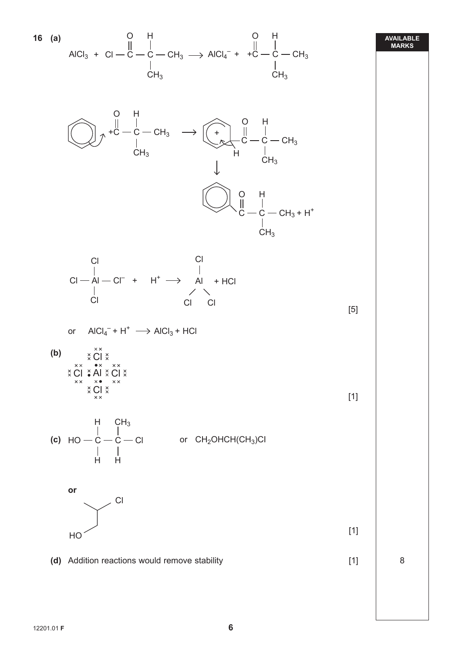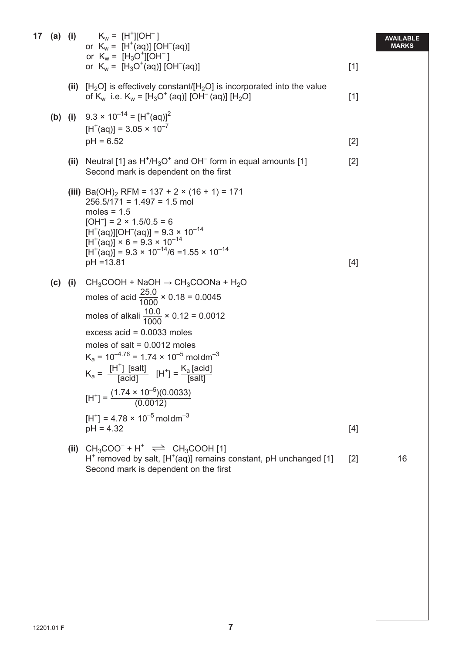|           |      | <b>17</b> (a) (i) $K_w = [H^+] [OH^-]$<br>or $K_w = [H^+(aq)] [OH^-(aq)]$<br>or $K_w = [H_3O^+][OH^-]$                                                                                                                                                                                                                                                                                                                                                                                                                               |       | AVAILABLE<br><b>MARKS</b> |
|-----------|------|--------------------------------------------------------------------------------------------------------------------------------------------------------------------------------------------------------------------------------------------------------------------------------------------------------------------------------------------------------------------------------------------------------------------------------------------------------------------------------------------------------------------------------------|-------|---------------------------|
|           |      | or $K_w = [H_3O^+(aq)]$ [OH <sup>-</sup> (aq)]                                                                                                                                                                                                                                                                                                                                                                                                                                                                                       | $[1]$ |                           |
|           |      | (ii) $[H_2O]$ is effectively constant/ $[H_2O]$ is incorporated into the value<br>of K <sub>w</sub> i.e. K <sub>w</sub> = [H <sub>3</sub> O <sup>+</sup> (aq)] [OH <sup>-</sup> (aq)] [H <sub>2</sub> O]                                                                                                                                                                                                                                                                                                                             | $[1]$ |                           |
|           |      | (b) (i) $9.3 \times 10^{-14} = [H^+(aq)]^2$<br>$[H^+(aq)] = 3.05 \times 10^{-7}$<br>$pH = 6.52$                                                                                                                                                                                                                                                                                                                                                                                                                                      | $[2]$ |                           |
|           |      | (ii) Neutral [1] as $H^{\dagger}/H_3O^{\dagger}$ and OH <sup>-</sup> form in equal amounts [1]<br>Second mark is dependent on the first                                                                                                                                                                                                                                                                                                                                                                                              | $[2]$ |                           |
|           |      | (iii) Ba(OH) <sub>2</sub> RFM = 137 + 2 × (16 + 1) = 171<br>$256.5/171 = 1.497 = 1.5$ mol<br>moles = $1.5$<br>$[OH^-] = 2 \times 1.5/0.5 = 6$<br>$[H^+(aq)][OH^-(aq)] = 9.3 \times 10^{-14}$<br>$[H^+(aq)] \times 6 = 9.3 \times 10^{-14}$<br>$[H+(aq)] = 9.3 \times 10^{-14}/6 = 1.55 \times 10^{-14}$<br>$pH = 13.81$                                                                                                                                                                                                              | $[4]$ |                           |
| $(c)$ (i) |      | $CH_3COOH + NaOH \rightarrow CH_3COONa + H_2O$<br>moles of acid $\frac{25.0}{1000} \times 0.18 = 0.0045$<br>moles of alkali $\frac{10.0}{1000} \times 0.12 = 0.0012$<br>excess $acid = 0.0033$ moles<br>moles of salt = $0.0012$ moles<br>$K_a = 10^{-4.76} = 1.74 \times 10^{-5}$ moldm <sup>-3</sup><br>$K_a = \frac{[H^+] \text{ [salt]}}{[\text{acid}]}$ $[H^+] = \frac{K_a \text{ [acid]}}{[\text{salt]}}$<br>$[H^+] = \frac{(1.74 \times 10^{-5})(0.0033)}{(0.0012)}$<br>$[H^+]$ = 4.78 × 10 <sup>-5</sup> moldm <sup>-3</sup> |       |                           |
|           |      | $pH = 4.32$                                                                                                                                                                                                                                                                                                                                                                                                                                                                                                                          | $[4]$ |                           |
|           | (ii) | $CH_3COO^- + H^+ \implies CH_3COOH$ [1]<br>$H^+$ removed by salt, $[H^+(aq)]$ remains constant, pH unchanged [1]<br>Second mark is dependent on the first                                                                                                                                                                                                                                                                                                                                                                            | $[2]$ | 16                        |
|           |      |                                                                                                                                                                                                                                                                                                                                                                                                                                                                                                                                      |       |                           |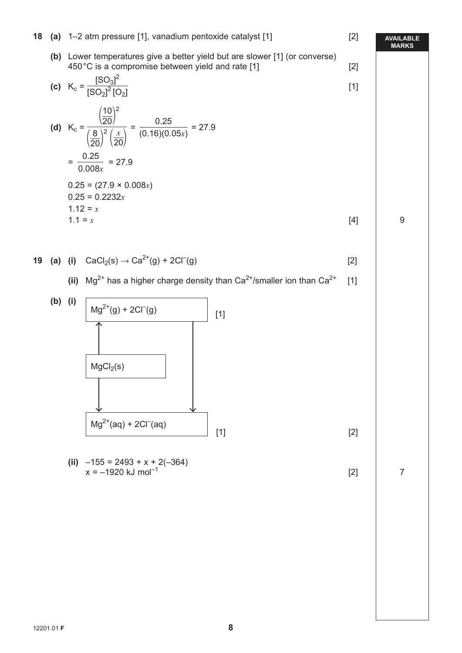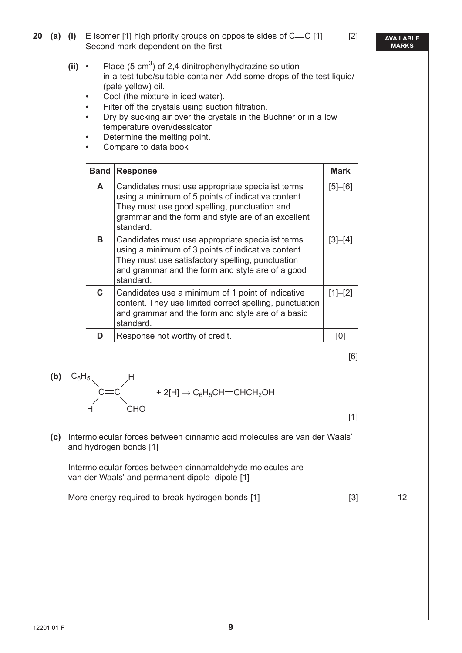- **20 (a)** (i) E isomer [1] high priority groups on opposite sides of  $C = C$  [1] [2] Second mark dependent on the first
- **(ii)** Place  $(5 \text{ cm}^3)$  of 2,4-dinitrophenylhydrazine solution in a test tube/suitable container. Add some drops of the test liquid/ (pale yellow) oil.
	- Cool (the mixture in iced water).
	- Filter off the crystals using suction filtration.
	- Dry by sucking air over the crystals in the Buchner or in a low temperature oven/dessicator
	- Determine the melting point.
	- Compare to data book

| <b>Band</b> | <b>Response</b>                                                                                                                                                                                                             |             |
|-------------|-----------------------------------------------------------------------------------------------------------------------------------------------------------------------------------------------------------------------------|-------------|
| A           | Candidates must use appropriate specialist terms<br>using a minimum of 5 points of indicative content.<br>They must use good spelling, punctuation and<br>grammar and the form and style are of an excellent<br>standard.   | $[5] - [6]$ |
| в.          | Candidates must use appropriate specialist terms<br>using a minimum of 3 points of indicative content.<br>They must use satisfactory spelling, punctuation<br>and grammar and the form and style are of a good<br>standard. | $[3]-[4]$   |
| C.          | Candidates use a minimum of 1 point of indicative<br>content. They use limited correct spelling, punctuation<br>and grammar and the form and style are of a basic<br>standard.                                              | $[1]-[2]$   |
|             | Response not worthy of credit.                                                                                                                                                                                              |             |

$$
[6]
$$

**(b)** 
$$
C_6H_5
$$
  
\n $C=C$   
\n $+ 2[H] \rightarrow C_6H_5CH=CHCH_2OH$   
\n $CHO$ 

 $[1]$ 

**(c)** Intermolecular forces between cinnamic acid molecules are van der Waals' and hydrogen bonds [1]

 Intermolecular forces between cinnamaldehyde molecules are van der Waals' and permanent dipole–dipole [1]

More energy required to break hydrogen bonds [1] [3] | 12